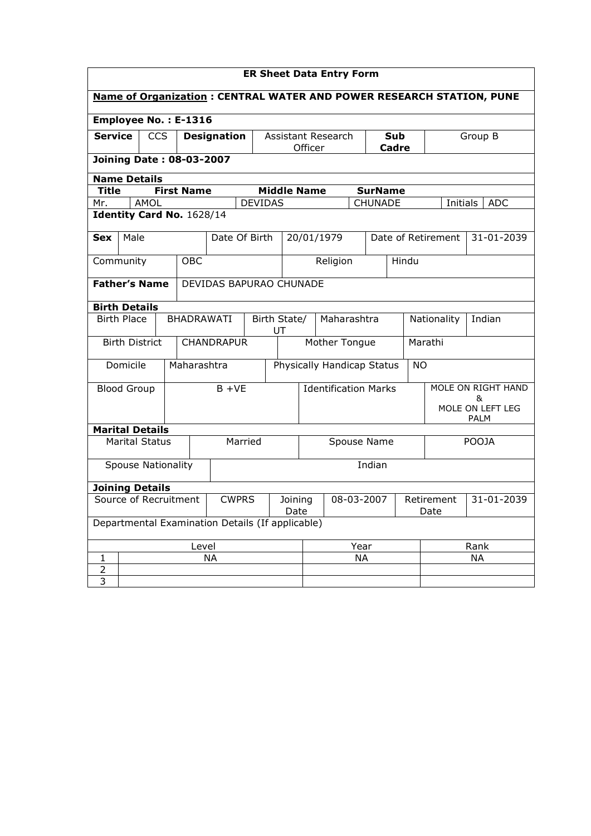| <b>ER Sheet Data Entry Form</b>                                             |                                  |                           |                           |                         |                                   |                    |                             |                                  |                     |                                 |                         |            |  |
|-----------------------------------------------------------------------------|----------------------------------|---------------------------|---------------------------|-------------------------|-----------------------------------|--------------------|-----------------------------|----------------------------------|---------------------|---------------------------------|-------------------------|------------|--|
| <b>Name of Organization: CENTRAL WATER AND POWER RESEARCH STATION, PUNE</b> |                                  |                           |                           |                         |                                   |                    |                             |                                  |                     |                                 |                         |            |  |
| Employee No.: E-1316                                                        |                                  |                           |                           |                         |                                   |                    |                             |                                  |                     |                                 |                         |            |  |
| <b>Service</b>                                                              | <b>CCS</b><br><b>Designation</b> |                           |                           |                         | Assistant Research                | Officer            |                             |                                  | <b>Sub</b><br>Cadre | Group B                         |                         |            |  |
| <b>Joining Date: 08-03-2007</b>                                             |                                  |                           |                           |                         |                                   |                    |                             |                                  |                     |                                 |                         |            |  |
| <b>Name Details</b>                                                         |                                  |                           |                           |                         |                                   |                    |                             |                                  |                     |                                 |                         |            |  |
| <b>Title</b>                                                                |                                  |                           | <b>First Name</b>         |                         |                                   | <b>Middle Name</b> |                             |                                  | <b>SurName</b>      |                                 |                         |            |  |
| Mr.                                                                         |                                  | AMOL                      |                           |                         | <b>DEVIDAS</b>                    |                    |                             |                                  | CHUNADE             |                                 | Initials                | <b>ADC</b> |  |
|                                                                             |                                  |                           | Identity Card No. 1628/14 |                         |                                   |                    |                             |                                  |                     |                                 |                         |            |  |
| <b>Sex</b>                                                                  | Male                             |                           |                           | Date Of Birth           |                                   |                    | 20/01/1979                  |                                  |                     | Date of Retirement              |                         | 31-01-2039 |  |
| Community                                                                   |                                  |                           | <b>OBC</b>                |                         |                                   |                    |                             | Religion                         |                     | Hindu                           |                         |            |  |
|                                                                             |                                  | <b>Father's Name</b>      |                           | DEVIDAS BAPURAO CHUNADE |                                   |                    |                             |                                  |                     |                                 |                         |            |  |
| <b>Birth Details</b>                                                        |                                  |                           |                           |                         |                                   |                    |                             |                                  |                     |                                 |                         |            |  |
| <b>Birth Place</b>                                                          |                                  |                           | BHADRAWATI                |                         | Birth State/<br>Maharashtra<br>UT |                    |                             |                                  | Nationality         | Indian                          |                         |            |  |
|                                                                             |                                  | <b>Birth District</b>     |                           | <b>CHANDRAPUR</b>       |                                   |                    | Mother Tongue               |                                  |                     |                                 | Marathi                 |            |  |
|                                                                             | Domicile                         |                           |                           | Maharashtra             |                                   |                    | Physically Handicap Status  |                                  | <b>NO</b>           |                                 |                         |            |  |
| <b>Blood Group</b>                                                          |                                  |                           |                           | $B + VE$                |                                   |                    | <b>Identification Marks</b> |                                  |                     |                                 | MOLE ON RIGHT HAND<br>& |            |  |
|                                                                             |                                  |                           |                           |                         |                                   |                    |                             |                                  |                     | MOLE ON LEFT LEG<br><b>PALM</b> |                         |            |  |
|                                                                             |                                  | <b>Marital Details</b>    |                           |                         |                                   |                    |                             |                                  |                     |                                 |                         |            |  |
|                                                                             |                                  | <b>Marital Status</b>     |                           | Married                 |                                   | Spouse Name        |                             |                                  | <b>POOJA</b>        |                                 |                         |            |  |
|                                                                             |                                  | <b>Spouse Nationality</b> |                           |                         |                                   |                    |                             |                                  | Indian              |                                 |                         |            |  |
|                                                                             |                                  | <b>Joining Details</b>    |                           |                         |                                   |                    |                             |                                  |                     |                                 |                         |            |  |
| Source of Recruitment<br><b>CWPRS</b>                                       |                                  |                           |                           |                         | Joining<br>08-03-2007<br>Date     |                    |                             | Retirement<br>31-01-2039<br>Date |                     |                                 |                         |            |  |
| Departmental Examination Details (If applicable)                            |                                  |                           |                           |                         |                                   |                    |                             |                                  |                     |                                 |                         |            |  |
| Level                                                                       |                                  |                           |                           |                         |                                   | Year               |                             |                                  | Rank                |                                 |                         |            |  |
| 1                                                                           |                                  |                           |                           | NΑ                      |                                   | <b>NA</b>          |                             |                                  |                     | <b>NA</b>                       |                         |            |  |
| 2                                                                           |                                  |                           |                           |                         |                                   |                    |                             |                                  |                     |                                 |                         |            |  |
| $\overline{3}$                                                              |                                  |                           |                           |                         |                                   |                    |                             |                                  |                     |                                 |                         |            |  |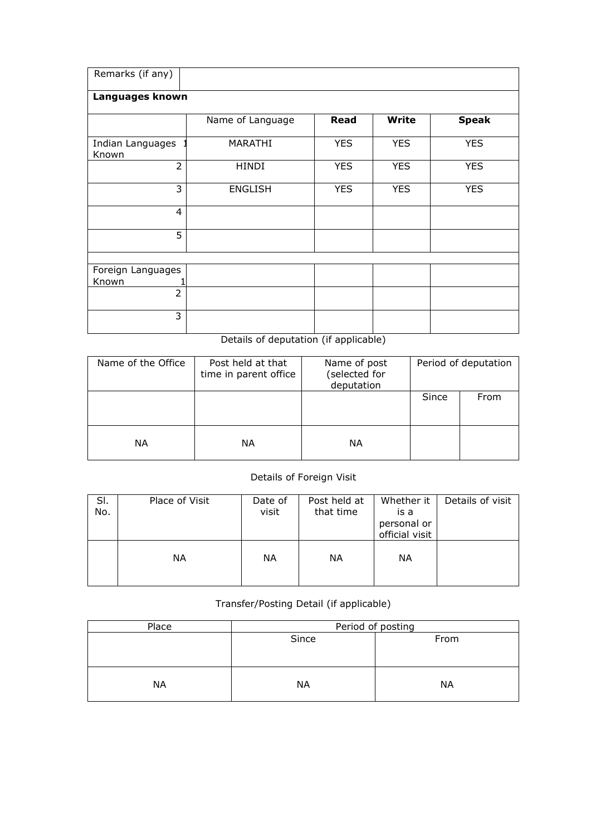| Remarks (if any)           |                  |             |              |              |  |  |  |  |  |  |  |
|----------------------------|------------------|-------------|--------------|--------------|--|--|--|--|--|--|--|
| Languages known            |                  |             |              |              |  |  |  |  |  |  |  |
|                            | Name of Language | <b>Read</b> | <b>Write</b> | <b>Speak</b> |  |  |  |  |  |  |  |
| Indian Languages<br>Known  | MARATHI          | <b>YES</b>  | <b>YES</b>   | <b>YES</b>   |  |  |  |  |  |  |  |
| $\overline{2}$             | HINDI            | <b>YES</b>  | <b>YES</b>   | <b>YES</b>   |  |  |  |  |  |  |  |
| 3                          | <b>ENGLISH</b>   | <b>YES</b>  | <b>YES</b>   | <b>YES</b>   |  |  |  |  |  |  |  |
| 4                          |                  |             |              |              |  |  |  |  |  |  |  |
| 5                          |                  |             |              |              |  |  |  |  |  |  |  |
|                            |                  |             |              |              |  |  |  |  |  |  |  |
| Foreign Languages<br>Known |                  |             |              |              |  |  |  |  |  |  |  |
| $\overline{2}$             |                  |             |              |              |  |  |  |  |  |  |  |
| 3                          |                  |             |              |              |  |  |  |  |  |  |  |

Details of deputation (if applicable)

| Name of the Office | Post held at that<br>time in parent office | Name of post<br>(selected for<br>deputation | Period of deputation |      |  |
|--------------------|--------------------------------------------|---------------------------------------------|----------------------|------|--|
|                    |                                            |                                             | Since                | From |  |
| NА                 | <b>NA</b>                                  | <b>NA</b>                                   |                      |      |  |

## Details of Foreign Visit

| SI.<br>No. | Place of Visit | Date of<br>visit | Post held at<br>that time | Whether it          | Details of visit |
|------------|----------------|------------------|---------------------------|---------------------|------------------|
|            |                |                  |                           | is a<br>personal or |                  |
|            |                |                  |                           | official visit      |                  |
|            | NА             | NА               | <b>NA</b>                 | <b>NA</b>           |                  |
|            |                |                  |                           |                     |                  |

## Transfer/Posting Detail (if applicable)

| Place     | Period of posting |           |  |  |  |
|-----------|-------------------|-----------|--|--|--|
|           | Since             | From      |  |  |  |
|           |                   |           |  |  |  |
|           |                   |           |  |  |  |
| <b>NA</b> | <b>NA</b>         | <b>NA</b> |  |  |  |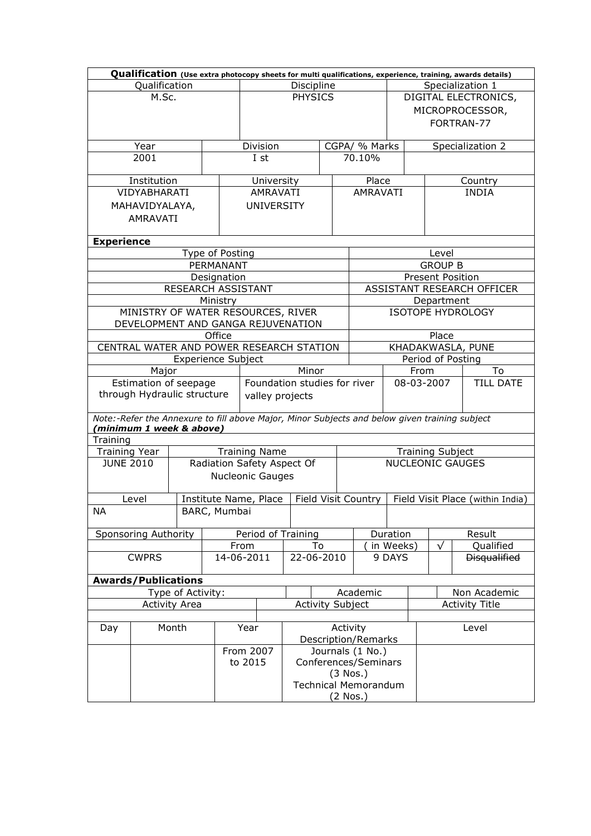|                                           | Qualification (Use extra photocopy sheets for multi qualifications, experience, training, awards details)<br>Qualification<br>Discipline<br>Specialization 1 |  |                    |                            |                                           |                         |                                                    |                                       |                                 |                |                                  |  |
|-------------------------------------------|--------------------------------------------------------------------------------------------------------------------------------------------------------------|--|--------------------|----------------------------|-------------------------------------------|-------------------------|----------------------------------------------------|---------------------------------------|---------------------------------|----------------|----------------------------------|--|
| M.Sc.                                     |                                                                                                                                                              |  |                    |                            | <b>PHYSICS</b>                            |                         |                                                    | DIGITAL ELECTRONICS,                  |                                 |                |                                  |  |
|                                           |                                                                                                                                                              |  |                    |                            |                                           |                         |                                                    |                                       |                                 |                |                                  |  |
|                                           |                                                                                                                                                              |  |                    |                            |                                           |                         |                                                    | MICROPROCESSOR,                       |                                 |                |                                  |  |
|                                           |                                                                                                                                                              |  |                    |                            |                                           |                         |                                                    |                                       | FORTRAN-77                      |                |                                  |  |
| Year                                      |                                                                                                                                                              |  | Division           | CGPA/ % Marks              |                                           |                         |                                                    |                                       | Specialization 2                |                |                                  |  |
|                                           | 2001                                                                                                                                                         |  |                    | I st                       |                                           |                         | 70.10%                                             |                                       |                                 |                |                                  |  |
|                                           |                                                                                                                                                              |  |                    |                            |                                           |                         |                                                    |                                       |                                 |                |                                  |  |
|                                           | Institution                                                                                                                                                  |  |                    | University                 |                                           |                         | Place                                              |                                       |                                 | Country        |                                  |  |
|                                           | VIDYABHARATI                                                                                                                                                 |  |                    | AMRAVATI                   |                                           |                         |                                                    | <b>AMRAVATI</b>                       |                                 |                | <b>INDIA</b>                     |  |
|                                           | MAHAVIDYALAYA,                                                                                                                                               |  |                    | <b>UNIVERSITY</b>          |                                           |                         |                                                    |                                       |                                 |                |                                  |  |
|                                           | <b>AMRAVATI</b>                                                                                                                                              |  |                    |                            |                                           |                         |                                                    |                                       |                                 |                |                                  |  |
| <b>Experience</b>                         |                                                                                                                                                              |  |                    |                            |                                           |                         |                                                    |                                       |                                 |                |                                  |  |
|                                           |                                                                                                                                                              |  | Type of Posting    |                            |                                           |                         |                                                    |                                       |                                 | Level          |                                  |  |
|                                           |                                                                                                                                                              |  | PERMANANT          |                            |                                           |                         |                                                    |                                       |                                 | <b>GROUP B</b> |                                  |  |
|                                           |                                                                                                                                                              |  | Designation        |                            |                                           |                         |                                                    |                                       |                                 |                | <b>Present Position</b>          |  |
|                                           |                                                                                                                                                              |  | RESEARCH ASSISTANT |                            |                                           |                         |                                                    |                                       |                                 |                | ASSISTANT RESEARCH OFFICER       |  |
|                                           |                                                                                                                                                              |  | Ministry           |                            |                                           |                         |                                                    |                                       |                                 | Department     |                                  |  |
|                                           | MINISTRY OF WATER RESOURCES, RIVER                                                                                                                           |  |                    |                            |                                           |                         |                                                    |                                       |                                 |                | <b>ISOTOPE HYDROLOGY</b>         |  |
|                                           | DEVELOPMENT AND GANGA REJUVENATION                                                                                                                           |  |                    |                            |                                           |                         |                                                    |                                       |                                 |                |                                  |  |
|                                           |                                                                                                                                                              |  | Office             |                            |                                           |                         |                                                    |                                       | Place                           |                |                                  |  |
|                                           |                                                                                                                                                              |  |                    |                            | CENTRAL WATER AND POWER RESEARCH STATION  |                         |                                                    | KHADAKWASLA, PUNE                     |                                 |                |                                  |  |
|                                           | Major                                                                                                                                                        |  | Experience Subject |                            | Minor                                     |                         |                                                    |                                       | Period of Posting<br>From<br>To |                |                                  |  |
|                                           | Estimation of seepage                                                                                                                                        |  |                    |                            | Foundation studies for river              |                         |                                                    |                                       |                                 | 08-03-2007     | <b>TILL DATE</b>                 |  |
|                                           | through Hydraulic structure                                                                                                                                  |  |                    |                            | valley projects                           |                         |                                                    |                                       |                                 |                |                                  |  |
|                                           |                                                                                                                                                              |  |                    |                            |                                           |                         |                                                    |                                       |                                 |                |                                  |  |
|                                           | Note:-Refer the Annexure to fill above Major, Minor Subjects and below given training subject                                                                |  |                    |                            |                                           |                         |                                                    |                                       |                                 |                |                                  |  |
|                                           | (minimum 1 week & above)                                                                                                                                     |  |                    |                            |                                           |                         |                                                    |                                       |                                 |                |                                  |  |
| Training                                  |                                                                                                                                                              |  |                    |                            |                                           |                         |                                                    |                                       |                                 |                |                                  |  |
| <b>Training Year</b><br><b>JUNE 2010</b>  |                                                                                                                                                              |  |                    | <b>Training Name</b>       |                                           |                         | <b>Training Subject</b><br><b>NUCLEONIC GAUGES</b> |                                       |                                 |                |                                  |  |
|                                           |                                                                                                                                                              |  |                    | Radiation Safety Aspect Of |                                           |                         |                                                    |                                       |                                 |                |                                  |  |
|                                           |                                                                                                                                                              |  |                    | <b>Nucleonic Gauges</b>    |                                           |                         |                                                    |                                       |                                 |                |                                  |  |
|                                           | Level                                                                                                                                                        |  |                    | Institute Name, Place      |                                           |                         | Field Visit Country                                |                                       |                                 |                | Field Visit Place (within India) |  |
| <b>NA</b>                                 |                                                                                                                                                              |  | BARC, Mumbai       |                            |                                           |                         |                                                    |                                       |                                 |                |                                  |  |
|                                           | Sponsoring Authority                                                                                                                                         |  |                    | Period of Training         |                                           | Duration                |                                                    |                                       |                                 | Result         |                                  |  |
|                                           |                                                                                                                                                              |  |                    | From                       | To                                        |                         | in Weeks)                                          |                                       |                                 | $\sqrt{ }$     | Qualified                        |  |
|                                           | <b>CWPRS</b>                                                                                                                                                 |  |                    | 14-06-2011                 | 22-06-2010                                |                         |                                                    | 9 DAYS                                |                                 |                | <b>Disqualified</b>              |  |
|                                           |                                                                                                                                                              |  |                    |                            |                                           |                         |                                                    |                                       |                                 |                |                                  |  |
|                                           | <b>Awards/Publications</b>                                                                                                                                   |  |                    |                            |                                           |                         |                                                    |                                       |                                 |                |                                  |  |
| Type of Activity:<br><b>Activity Area</b> |                                                                                                                                                              |  |                    |                            |                                           |                         | Academic                                           | Non Academic<br><b>Activity Title</b> |                                 |                |                                  |  |
|                                           |                                                                                                                                                              |  |                    |                            |                                           | <b>Activity Subject</b> |                                                    |                                       |                                 |                |                                  |  |
| Month<br>Day                              |                                                                                                                                                              |  | Year               | Activity                   |                                           |                         |                                                    |                                       |                                 | Level          |                                  |  |
|                                           |                                                                                                                                                              |  |                    |                            |                                           | Description/Remarks     |                                                    |                                       |                                 |                |                                  |  |
|                                           |                                                                                                                                                              |  | From 2007          | Journals (1 No.)           |                                           |                         |                                                    |                                       |                                 |                |                                  |  |
|                                           |                                                                                                                                                              |  | to 2015            |                            |                                           | Conferences/Seminars    |                                                    |                                       |                                 |                |                                  |  |
|                                           |                                                                                                                                                              |  |                    |                            | $(3$ Nos.)<br><b>Technical Memorandum</b> |                         |                                                    |                                       |                                 |                |                                  |  |
|                                           |                                                                                                                                                              |  |                    |                            |                                           |                         |                                                    |                                       |                                 |                |                                  |  |
|                                           |                                                                                                                                                              |  |                    |                            | $(2$ Nos.)                                |                         |                                                    |                                       |                                 |                |                                  |  |